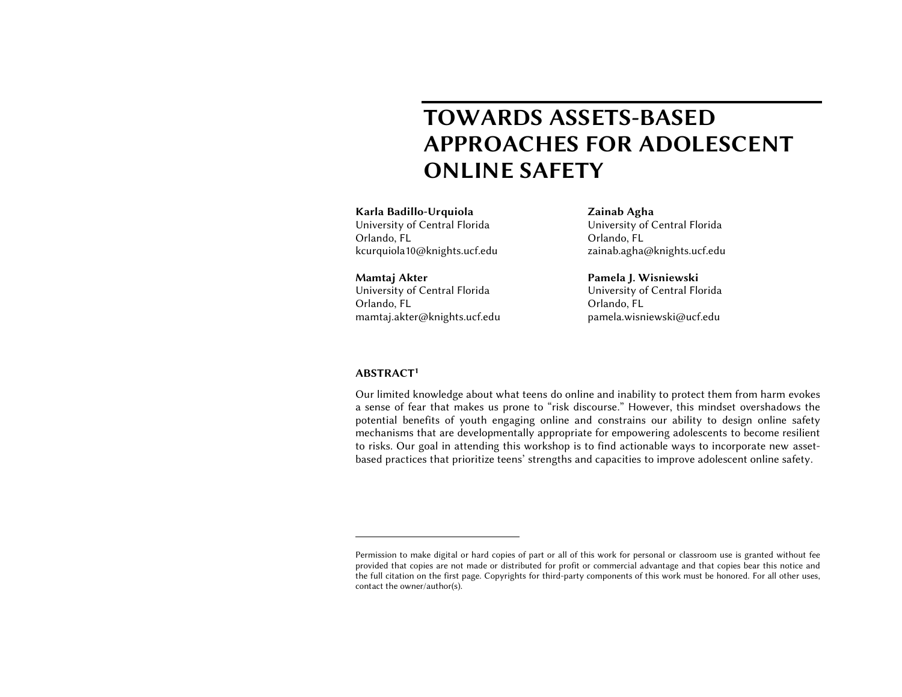# TOWARDS ASSETS-BASED APPROACHES FOR ADOLESCENT ONLINE SAFETY

Karla Badillo-Urquiola University of Central Florida Orlando, FL kcurquiola10@knights.ucf.edu

Mamtaj Akter University of Central Florida Orlando, FL mamtaj.akter@knights.ucf.edu Zainab Agha University of Central Florida Orlando, FL zainab.agha@knights.ucf.edu

Pamela J. Wisniewski University of Central Florida Orlando, FL pamela.wisniewski@ucf.edu

## ABSTRACT<sup>1</sup>

Our limited knowledge about what teens do online and inability to protect them from harm evokes a sense of fear that makes us prone to "risk discourse." However, this mindset overshadows the potential benefits of youth engaging online and constrains our ability to design online safety mechanisms that are developmentally appropriate for empowering adolescents to become resilient to risks. Our goal in attending this workshop is to find actionable ways to incorporate new assetbased practices that prioritize teens' strengths and capacities to improve adolescent online safety.

Permission to make digital or hard copies of part or all of this work for personal or classroom use is granted without fee provided that copies are not made or distributed for profit or commercial advantage and that copies bear this notice and the full citation on the first page. Copyrights for third-party components of this work must be honored. For all other uses, contact the owner/author(s).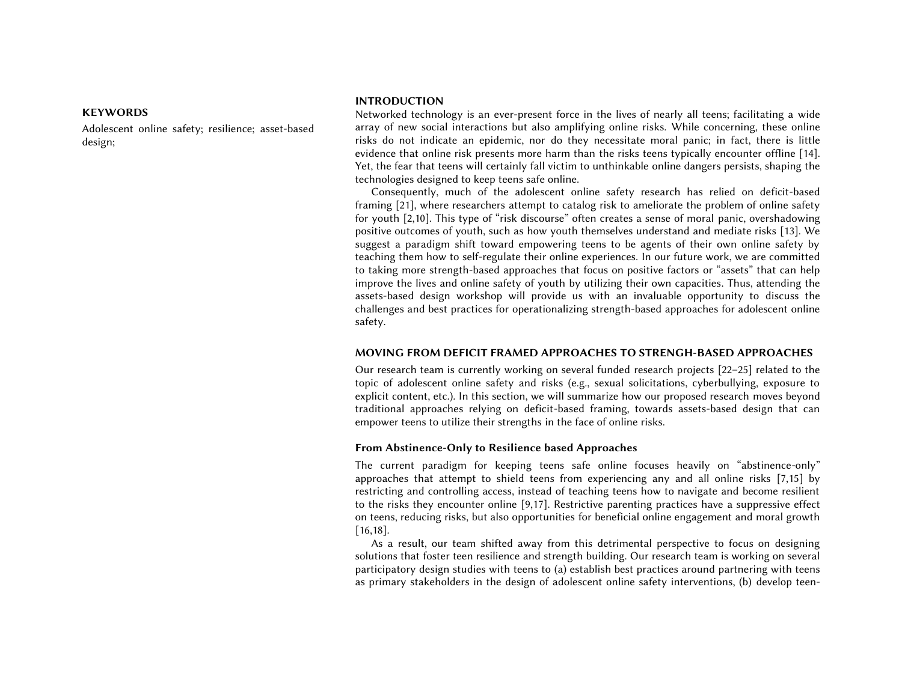## KEYWORDS

Adolescent online safety; resilience; asset-based design;

## INTRODUCTION

Networked technology is an ever-present force in the lives of nearly all teens; facilitating a wide array of new social interactions but also amplifying online risks. While concerning, these online risks do not indicate an epidemic, nor do they necessitate moral panic; in fact, there is little evidence that online risk presents more harm than the risks teens typically encounter offline [14]. Yet, the fear that teens will certainly fall victim to unthinkable online dangers persists, shaping the technologies designed to keep teens safe online.

Consequently, much of the adolescent online safety research has relied on deficit-based framing [21], where researchers attempt to catalog risk to ameliorate the problem of online safety for youth [2,10]. This type of "risk discourse" often creates a sense of moral panic, overshadowing positive outcomes of youth, such as how youth themselves understand and mediate risks [13]. We suggest a paradigm shift toward empowering teens to be agents of their own online safety by teaching them how to self-regulate their online experiences. In our future work, we are committed to taking more strength-based approaches that focus on positive factors or "assets" that can help improve the lives and online safety of youth by utilizing their own capacities. Thus, attending the assets-based design workshop will provide us with an invaluable opportunity to discuss the challenges and best practices for operationalizing strength-based approaches for adolescent online safety.

#### MOVING FROM DEFICIT FRAMED APPROACHES TO STRENGH-BASED APPROACHES

Our research team is currently working on several funded research projects [22–25] related to the topic of adolescent online safety and risks (e.g., sexual solicitations, cyberbullying, exposure to explicit content, etc.). In this section, we will summarize how our proposed research moves beyond traditional approaches relying on deficit-based framing, towards assets-based design that can empower teens to utilize their strengths in the face of online risks.

#### From Abstinence-Only to Resilience based Approaches

The current paradigm for keeping teens safe online focuses heavily on "abstinence-only" approaches that attempt to shield teens from experiencing any and all online risks [7,15] by restricting and controlling access, instead of teaching teens how to navigate and become resilient to the risks they encounter online [9,17]. Restrictive parenting practices have a suppressive effect on teens, reducing risks, but also opportunities for beneficial online engagement and moral growth [16,18].

As a result, our team shifted away from this detrimental perspective to focus on designing solutions that foster teen resilience and strength building. Our research team is working on several participatory design studies with teens to (a) establish best practices around partnering with teens as primary stakeholders in the design of adolescent online safety interventions, (b) develop teen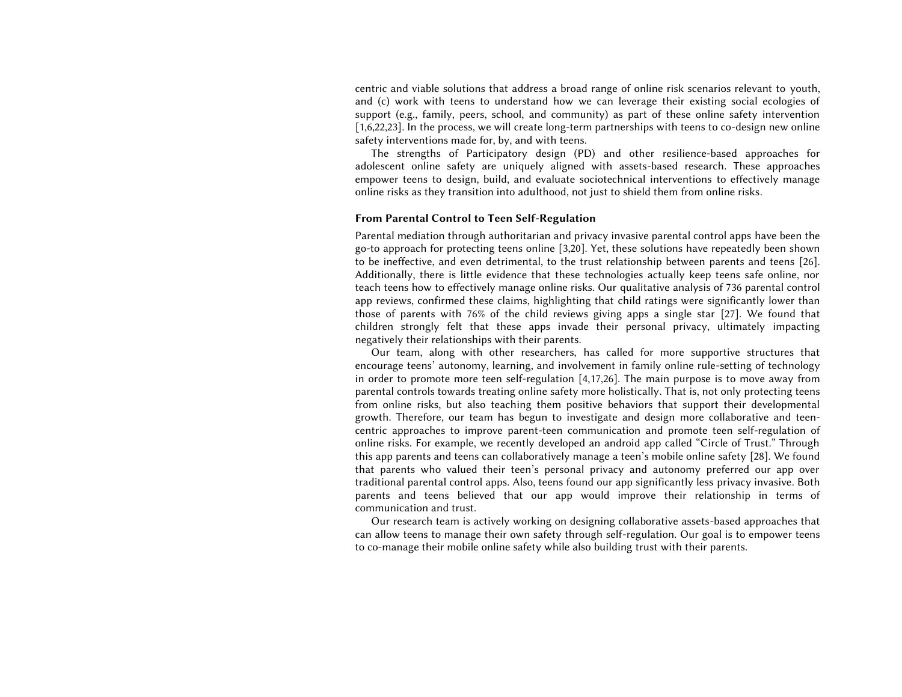centric and viable solutions that address a broad range of online risk scenarios relevant to youth, and (c) work with teens to understand how we can leverage their existing social ecologies of support (e.g., family, peers, school, and community) as part of these online safety intervention [1,6,22,23]. In the process, we will create long-term partnerships with teens to co-design new online safety interventions made for, by, and with teens.

The strengths of Participatory design (PD) and other resilience-based approaches for adolescent online safety are uniquely aligned with assets-based research. These approaches empower teens to design, build, and evaluate sociotechnical interventions to effectively manage online risks as they transition into adulthood, not just to shield them from online risks.

#### From Parental Control to Teen Self-Regulation

Parental mediation through authoritarian and privacy invasive parental control apps have been the go-to approach for protecting teens online [3,20]. Yet, these solutions have repeatedly been shown to be ineffective, and even detrimental, to the trust relationship between parents and teens [26]. Additionally, there is little evidence that these technologies actually keep teens safe online, nor teach teens how to effectively manage online risks. Our qualitative analysis of 736 parental control app reviews, confirmed these claims, highlighting that child ratings were significantly lower than those of parents with 76% of the child reviews giving apps a single star [27]. We found that children strongly felt that these apps invade their personal privacy, ultimately impacting negatively their relationships with their parents.

Our team, along with other researchers, has called for more supportive structures that encourage teens' autonomy, learning, and involvement in family online rule-setting of technology in order to promote more teen self-regulation [4,17,26]. The main purpose is to move away from parental controls towards treating online safety more holistically. That is, not only protecting teens from online risks, but also teaching them positive behaviors that support their developmental growth. Therefore, our team has begun to investigate and design more collaborative and teencentric approaches to improve parent-teen communication and promote teen self-regulation of online risks. For example, we recently developed an android app called "Circle of Trust." Through this app parents and teens can collaboratively manage a teen's mobile online safety [28]. We found that parents who valued their teen's personal privacy and autonomy preferred our app over traditional parental control apps. Also, teens found our app significantly less privacy invasive. Both parents and teens believed that our app would improve their relationship in terms of communication and trust.

Our research team is actively working on designing collaborative assets-based approaches that can allow teens to manage their own safety through self-regulation. Our goal is to empower teens to co-manage their mobile online safety while also building trust with their parents.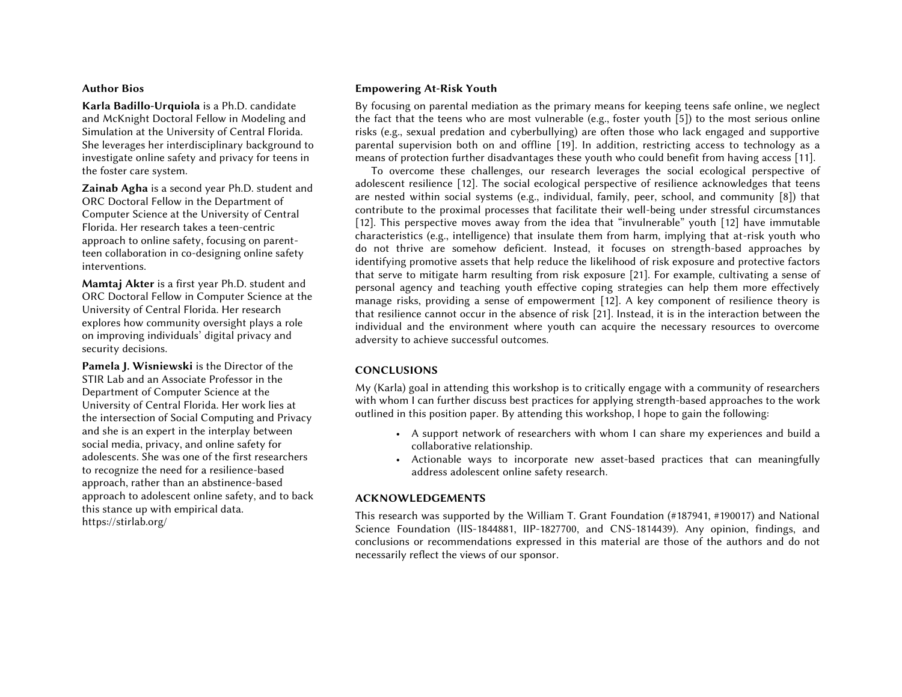## Author Bios

Karla Badillo-Urquiola is a Ph.D. candidate and McKnight Doctoral Fellow in Modeling and Simulation at the University of Central Florida. She leverages her interdisciplinary background to investigate online safety and privacy for teens in the foster care system.

Zainab Agha is a second year Ph.D. student and ORC Doctoral Fellow in the Department of Computer Science at the University of Central Florida. Her research takes a teen-centric approach to online safety, focusing on parentteen collaboration in co-designing online safety interventions.

Mamtaj Akter is a first year Ph.D. student and ORC Doctoral Fellow in Computer Science at the University of Central Florida. Her research explores how community oversight plays a role on improving individuals' digital privacy and security decisions.

Pamela J. Wisniewski is the Director of the STIR Lab and an Associate Professor in the Department of Computer Science at the University of Central Florida. Her work lies at the intersection of Social Computing and Privacy and she is an expert in the interplay between social media, privacy, and online safety for adolescents. She was one of the first researchers to recognize the need for a resilience-based approach, rather than an abstinence-based approach to adolescent online safety, and to back this stance up with empirical data. https://stirlab.org/

# Empowering At-Risk Youth

By focusing on parental mediation as the primary means for keeping teens safe online, we neglect the fact that the teens who are most vulnerable (e.g., foster youth [5]) to the most serious online risks (e.g., sexual predation and cyberbullying) are often those who lack engaged and supportive parental supervision both on and offline [19]. In addition, restricting access to technology as a means of protection further disadvantages these youth who could benefit from having access [11].

To overcome these challenges, our research leverages the social ecological perspective of adolescent resilience [12]. The social ecological perspective of resilience acknowledges that teens are nested within social systems (e.g., individual, family, peer, school, and community [8]) that contribute to the proximal processes that facilitate their well-being under stressful circumstances [12]. This perspective moves away from the idea that "invulnerable" youth [12] have immutable characteristics (e.g., intelligence) that insulate them from harm, implying that at-risk youth who do not thrive are somehow deficient. Instead, it focuses on strength-based approaches by identifying promotive assets that help reduce the likelihood of risk exposure and protective factors that serve to mitigate harm resulting from risk exposure [21]. For example, cultivating a sense of personal agency and teaching youth effective coping strategies can help them more effectively manage risks, providing a sense of empowerment [12]. A key component of resilience theory is that resilience cannot occur in the absence of risk [21]. Instead, it is in the interaction between the individual and the environment where youth can acquire the necessary resources to overcome adversity to achieve successful outcomes.

# **CONCLUSIONS**

My (Karla) goal in attending this workshop is to critically engage with a community of researchers with whom I can further discuss best practices for applying strength-based approaches to the work outlined in this position paper. By attending this workshop, I hope to gain the following:

- A support network of researchers with whom I can share my experiences and build a collaborative relationship.
- Actionable ways to incorporate new asset-based practices that can meaningfully address adolescent online safety research.

# ACKNOWLEDGEMENTS

This research was supported by the William T. Grant Foundation (#187941, #190017) and National Science Foundation (IIS-1844881, IIP-1827700, and CNS-1814439). Any opinion, findings, and conclusions or recommendations expressed in this material are those of the authors and do not necessarily reflect the views of our sponsor.